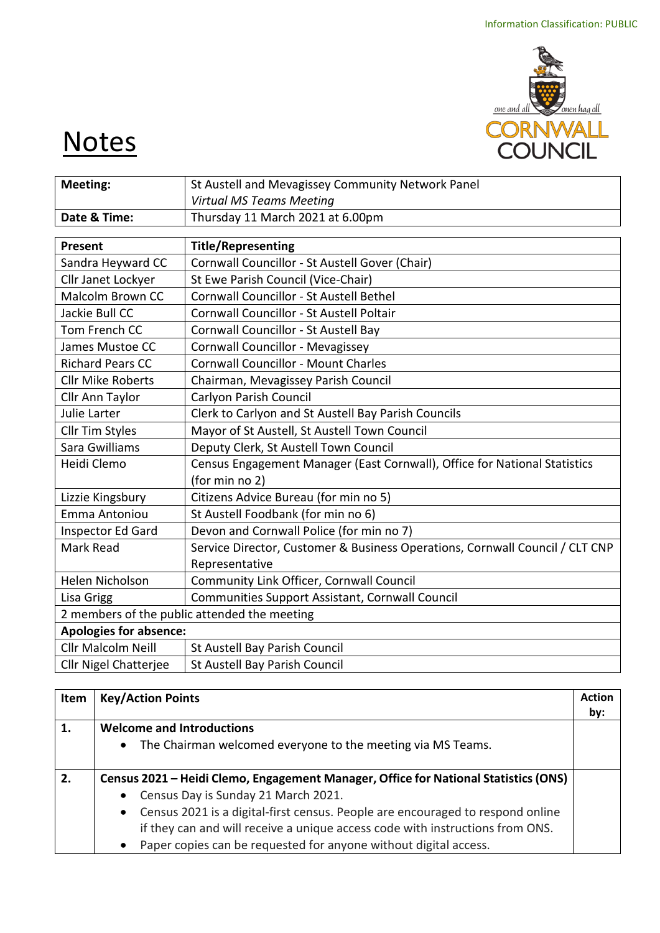

## **Notes**

| Meeting:                                                            | St Austell and Mevagissey Community Network Panel                            |  |  |  |
|---------------------------------------------------------------------|------------------------------------------------------------------------------|--|--|--|
|                                                                     | <b>Virtual MS Teams Meeting</b>                                              |  |  |  |
| Date & Time:                                                        | Thursday 11 March 2021 at 6.00pm                                             |  |  |  |
|                                                                     |                                                                              |  |  |  |
| Present                                                             | <b>Title/Representing</b>                                                    |  |  |  |
| Sandra Heyward CC                                                   | Cornwall Councillor - St Austell Gover (Chair)                               |  |  |  |
| Cllr Janet Lockyer                                                  | St Ewe Parish Council (Vice-Chair)                                           |  |  |  |
| Malcolm Brown CC                                                    | Cornwall Councillor - St Austell Bethel                                      |  |  |  |
| Jackie Bull CC                                                      | Cornwall Councillor - St Austell Poltair                                     |  |  |  |
| Tom French CC                                                       | Cornwall Councillor - St Austell Bay                                         |  |  |  |
| James Mustoe CC                                                     | Cornwall Councillor - Mevagissey                                             |  |  |  |
| <b>Richard Pears CC</b>                                             | <b>Cornwall Councillor - Mount Charles</b>                                   |  |  |  |
| <b>Cllr Mike Roberts</b><br>Chairman, Mevagissey Parish Council     |                                                                              |  |  |  |
| Carlyon Parish Council<br>Cllr Ann Taylor                           |                                                                              |  |  |  |
| Clerk to Carlyon and St Austell Bay Parish Councils<br>Julie Larter |                                                                              |  |  |  |
| Mayor of St Austell, St Austell Town Council<br>Cllr Tim Styles     |                                                                              |  |  |  |
| Sara Gwilliams<br>Deputy Clerk, St Austell Town Council             |                                                                              |  |  |  |
| Heidi Clemo                                                         | Census Engagement Manager (East Cornwall), Office for National Statistics    |  |  |  |
|                                                                     | (for min no 2)                                                               |  |  |  |
| Lizzie Kingsbury                                                    | Citizens Advice Bureau (for min no 5)                                        |  |  |  |
| Emma Antoniou                                                       | St Austell Foodbank (for min no 6)                                           |  |  |  |
| Inspector Ed Gard                                                   | Devon and Cornwall Police (for min no 7)                                     |  |  |  |
| Mark Read                                                           | Service Director, Customer & Business Operations, Cornwall Council / CLT CNP |  |  |  |
|                                                                     | Representative                                                               |  |  |  |
| Helen Nicholson                                                     | Community Link Officer, Cornwall Council                                     |  |  |  |
| Communities Support Assistant, Cornwall Council<br>Lisa Grigg       |                                                                              |  |  |  |
|                                                                     | 2 members of the public attended the meeting                                 |  |  |  |
|                                                                     | <b>Apologies for absence:</b>                                                |  |  |  |
| <b>Cllr Malcolm Neill</b>                                           | St Austell Bay Parish Council                                                |  |  |  |
| <b>Cllr Nigel Chatterjee</b>                                        | St Austell Bay Parish Council                                                |  |  |  |

| Item | <b>Key/Action Points</b>                                                                    | <b>Action</b> |
|------|---------------------------------------------------------------------------------------------|---------------|
|      |                                                                                             | by:           |
| 1.   | <b>Welcome and Introductions</b>                                                            |               |
|      | The Chairman welcomed everyone to the meeting via MS Teams.<br>$\bullet$                    |               |
|      |                                                                                             |               |
| 2.   | Census 2021 – Heidi Clemo, Engagement Manager, Office for National Statistics (ONS)         |               |
|      | Census Day is Sunday 21 March 2021.<br>$\bullet$                                            |               |
|      | Census 2021 is a digital-first census. People are encouraged to respond online<br>$\bullet$ |               |
|      | if they can and will receive a unique access code with instructions from ONS.               |               |
|      | Paper copies can be requested for anyone without digital access.                            |               |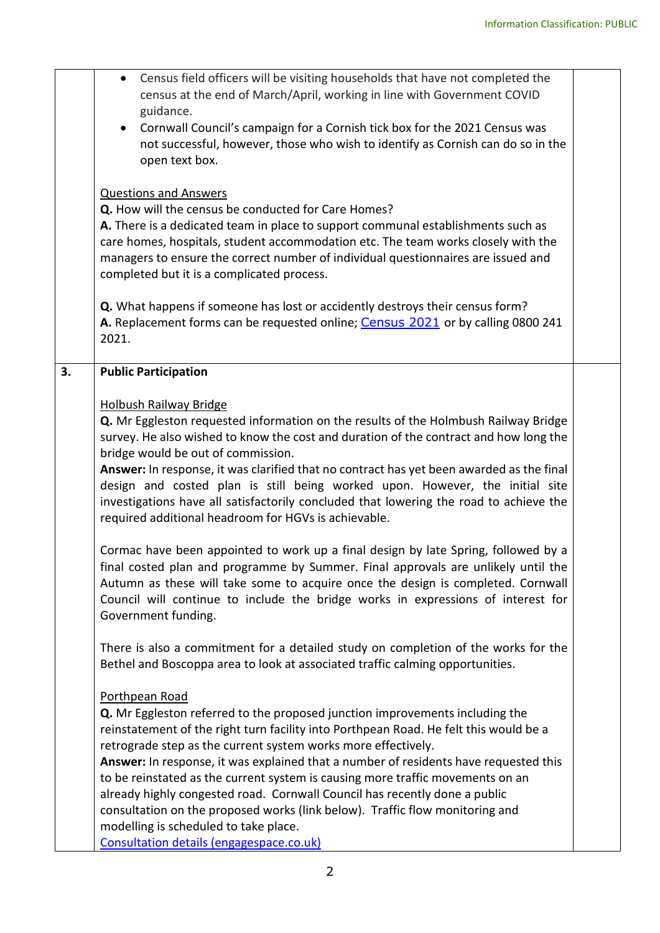|    | Census field officers will be visiting households that have not completed the<br>census at the end of March/April, working in line with Government COVID<br>guidance.<br>Cornwall Council's campaign for a Cornish tick box for the 2021 Census was<br>not successful, however, those who wish to identify as Cornish can do so in the<br>open text box.<br><b>Questions and Answers</b><br>Q. How will the census be conducted for Care Homes?<br>A. There is a dedicated team in place to support communal establishments such as<br>care homes, hospitals, student accommodation etc. The team works closely with the<br>managers to ensure the correct number of individual questionnaires are issued and<br>completed but it is a complicated process.<br>Q. What happens if someone has lost or accidently destroys their census form?<br>A. Replacement forms can be requested online; Census 2021 or by calling 0800 241<br>2021.                                                                                                                                                                                                                                                                                                                                                                                                                                                                                                                                                                                                                                                                                                                                                                                                                                                                                                                  |  |
|----|------------------------------------------------------------------------------------------------------------------------------------------------------------------------------------------------------------------------------------------------------------------------------------------------------------------------------------------------------------------------------------------------------------------------------------------------------------------------------------------------------------------------------------------------------------------------------------------------------------------------------------------------------------------------------------------------------------------------------------------------------------------------------------------------------------------------------------------------------------------------------------------------------------------------------------------------------------------------------------------------------------------------------------------------------------------------------------------------------------------------------------------------------------------------------------------------------------------------------------------------------------------------------------------------------------------------------------------------------------------------------------------------------------------------------------------------------------------------------------------------------------------------------------------------------------------------------------------------------------------------------------------------------------------------------------------------------------------------------------------------------------------------------------------------------------------------------------------------------------|--|
| 3. | <b>Public Participation</b><br><b>Holbush Railway Bridge</b><br>Q. Mr Eggleston requested information on the results of the Holmbush Railway Bridge<br>survey. He also wished to know the cost and duration of the contract and how long the<br>bridge would be out of commission.<br>Answer: In response, it was clarified that no contract has yet been awarded as the final<br>design and costed plan is still being worked upon. However, the initial site<br>investigations have all satisfactorily concluded that lowering the road to achieve the<br>required additional headroom for HGVs is achievable.<br>Cormac have been appointed to work up a final design by late Spring, followed by a<br>final costed plan and programme by Summer. Final approvals are unlikely until the<br>Autumn as these will take some to acquire once the design is completed. Cornwall<br>Council will continue to include the bridge works in expressions of interest for<br>Government funding.<br>There is also a commitment for a detailed study on completion of the works for the<br>Bethel and Boscoppa area to look at associated traffic calming opportunities.<br>Porthpean Road<br>Q. Mr Eggleston referred to the proposed junction improvements including the<br>reinstatement of the right turn facility into Porthpean Road. He felt this would be a<br>retrograde step as the current system works more effectively.<br>Answer: In response, it was explained that a number of residents have requested this<br>to be reinstated as the current system is causing more traffic movements on an<br>already highly congested road. Cornwall Council has recently done a public<br>consultation on the proposed works (link below). Traffic flow monitoring and<br>modelling is scheduled to take place.<br>Consultation details (engagespace.co.uk) |  |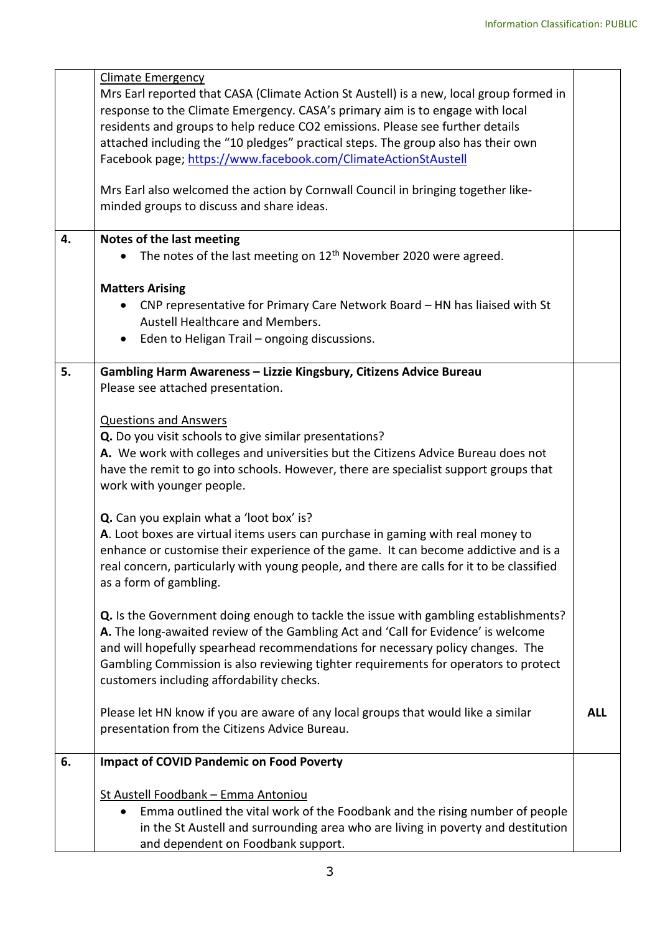|    | <b>Climate Emergency</b>                                                                                                                                               |            |  |  |
|----|------------------------------------------------------------------------------------------------------------------------------------------------------------------------|------------|--|--|
|    | Mrs Earl reported that CASA (Climate Action St Austell) is a new, local group formed in                                                                                |            |  |  |
|    | response to the Climate Emergency. CASA's primary aim is to engage with local                                                                                          |            |  |  |
|    | residents and groups to help reduce CO2 emissions. Please see further details                                                                                          |            |  |  |
|    | attached including the "10 pledges" practical steps. The group also has their own                                                                                      |            |  |  |
|    | Facebook page; https://www.facebook.com/ClimateActionStAustell                                                                                                         |            |  |  |
|    |                                                                                                                                                                        |            |  |  |
|    | Mrs Earl also welcomed the action by Cornwall Council in bringing together like-                                                                                       |            |  |  |
|    | minded groups to discuss and share ideas.                                                                                                                              |            |  |  |
|    |                                                                                                                                                                        |            |  |  |
| 4. | Notes of the last meeting                                                                                                                                              |            |  |  |
|    | The notes of the last meeting on 12 <sup>th</sup> November 2020 were agreed.                                                                                           |            |  |  |
|    | <b>Matters Arising</b>                                                                                                                                                 |            |  |  |
|    |                                                                                                                                                                        |            |  |  |
|    | CNP representative for Primary Care Network Board - HN has liaised with St<br>$\bullet$<br>Austell Healthcare and Members.                                             |            |  |  |
|    | Eden to Heligan Trail - ongoing discussions.                                                                                                                           |            |  |  |
|    | $\bullet$                                                                                                                                                              |            |  |  |
| 5. | Gambling Harm Awareness - Lizzie Kingsbury, Citizens Advice Bureau                                                                                                     |            |  |  |
|    | Please see attached presentation.                                                                                                                                      |            |  |  |
|    |                                                                                                                                                                        |            |  |  |
|    | <b>Questions and Answers</b>                                                                                                                                           |            |  |  |
|    | Q. Do you visit schools to give similar presentations?                                                                                                                 |            |  |  |
|    | A. We work with colleges and universities but the Citizens Advice Bureau does not                                                                                      |            |  |  |
|    | have the remit to go into schools. However, there are specialist support groups that                                                                                   |            |  |  |
|    | work with younger people.                                                                                                                                              |            |  |  |
|    | Q. Can you explain what a 'loot box' is?                                                                                                                               |            |  |  |
|    |                                                                                                                                                                        |            |  |  |
|    | A. Loot boxes are virtual items users can purchase in gaming with real money to<br>enhance or customise their experience of the game. It can become addictive and is a |            |  |  |
|    |                                                                                                                                                                        |            |  |  |
|    | real concern, particularly with young people, and there are calls for it to be classified<br>as a form of gambling.                                                    |            |  |  |
|    |                                                                                                                                                                        |            |  |  |
|    | <b>Q.</b> Is the Government doing enough to tackle the issue with gambling establishments?                                                                             |            |  |  |
|    | A. The long-awaited review of the Gambling Act and 'Call for Evidence' is welcome                                                                                      |            |  |  |
|    | and will hopefully spearhead recommendations for necessary policy changes. The                                                                                         |            |  |  |
|    | Gambling Commission is also reviewing tighter requirements for operators to protect                                                                                    |            |  |  |
|    | customers including affordability checks.                                                                                                                              |            |  |  |
|    |                                                                                                                                                                        |            |  |  |
|    | Please let HN know if you are aware of any local groups that would like a similar                                                                                      | <b>ALL</b> |  |  |
|    | presentation from the Citizens Advice Bureau.                                                                                                                          |            |  |  |
|    |                                                                                                                                                                        |            |  |  |
| 6. | <b>Impact of COVID Pandemic on Food Poverty</b>                                                                                                                        |            |  |  |
|    | St Austell Foodbank - Emma Antoniou                                                                                                                                    |            |  |  |
|    | Emma outlined the vital work of the Foodbank and the rising number of people<br>$\bullet$                                                                              |            |  |  |
|    | in the St Austell and surrounding area who are living in poverty and destitution                                                                                       |            |  |  |
|    | and dependent on Foodbank support.                                                                                                                                     |            |  |  |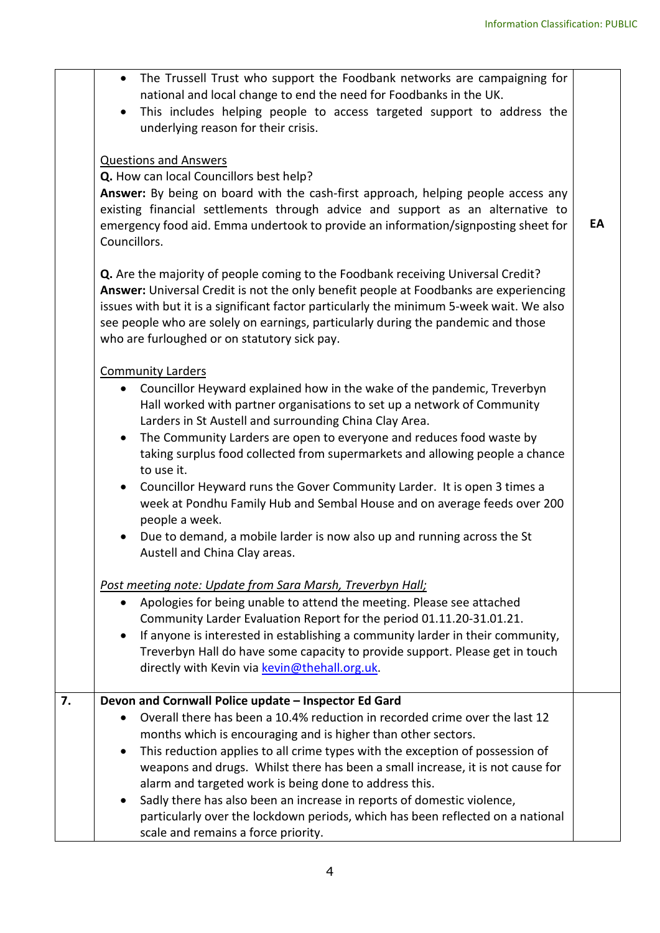|    | The Trussell Trust who support the Foodbank networks are campaigning for<br>national and local change to end the need for Foodbanks in the UK.<br>This includes helping people to access targeted support to address the<br>underlying reason for their crisis.                                                                                                                                                                                                                                                                                                                                                                                                                                                                                          |    |  |
|----|----------------------------------------------------------------------------------------------------------------------------------------------------------------------------------------------------------------------------------------------------------------------------------------------------------------------------------------------------------------------------------------------------------------------------------------------------------------------------------------------------------------------------------------------------------------------------------------------------------------------------------------------------------------------------------------------------------------------------------------------------------|----|--|
|    | <b>Questions and Answers</b><br>Q. How can local Councillors best help?<br>Answer: By being on board with the cash-first approach, helping people access any<br>existing financial settlements through advice and support as an alternative to<br>emergency food aid. Emma undertook to provide an information/signposting sheet for<br>Councillors.                                                                                                                                                                                                                                                                                                                                                                                                     | EA |  |
|    | Q. Are the majority of people coming to the Foodbank receiving Universal Credit?<br>Answer: Universal Credit is not the only benefit people at Foodbanks are experiencing<br>issues with but it is a significant factor particularly the minimum 5-week wait. We also<br>see people who are solely on earnings, particularly during the pandemic and those<br>who are furloughed or on statutory sick pay.                                                                                                                                                                                                                                                                                                                                               |    |  |
|    | <b>Community Larders</b><br>Councillor Heyward explained how in the wake of the pandemic, Treverbyn<br>$\bullet$<br>Hall worked with partner organisations to set up a network of Community<br>Larders in St Austell and surrounding China Clay Area.<br>The Community Larders are open to everyone and reduces food waste by<br>$\bullet$<br>taking surplus food collected from supermarkets and allowing people a chance<br>to use it.<br>Councillor Heyward runs the Gover Community Larder. It is open 3 times a<br>$\bullet$<br>week at Pondhu Family Hub and Sembal House and on average feeds over 200<br>people a week.<br>Due to demand, a mobile larder is now also up and running across the St<br>$\bullet$<br>Austell and China Clay areas. |    |  |
|    | Post meeting note: Update from Sara Marsh, Treverbyn Hall;<br>Apologies for being unable to attend the meeting. Please see attached<br>Community Larder Evaluation Report for the period 01.11.20-31.01.21.<br>If anyone is interested in establishing a community larder in their community,<br>Treverbyn Hall do have some capacity to provide support. Please get in touch<br>directly with Kevin via kevin@thehall.org.uk.                                                                                                                                                                                                                                                                                                                           |    |  |
| 7. | Devon and Cornwall Police update - Inspector Ed Gard<br>Overall there has been a 10.4% reduction in recorded crime over the last 12<br>months which is encouraging and is higher than other sectors.<br>This reduction applies to all crime types with the exception of possession of<br>$\bullet$<br>weapons and drugs. Whilst there has been a small increase, it is not cause for<br>alarm and targeted work is being done to address this.<br>Sadly there has also been an increase in reports of domestic violence,<br>particularly over the lockdown periods, which has been reflected on a national<br>scale and remains a force priority.                                                                                                        |    |  |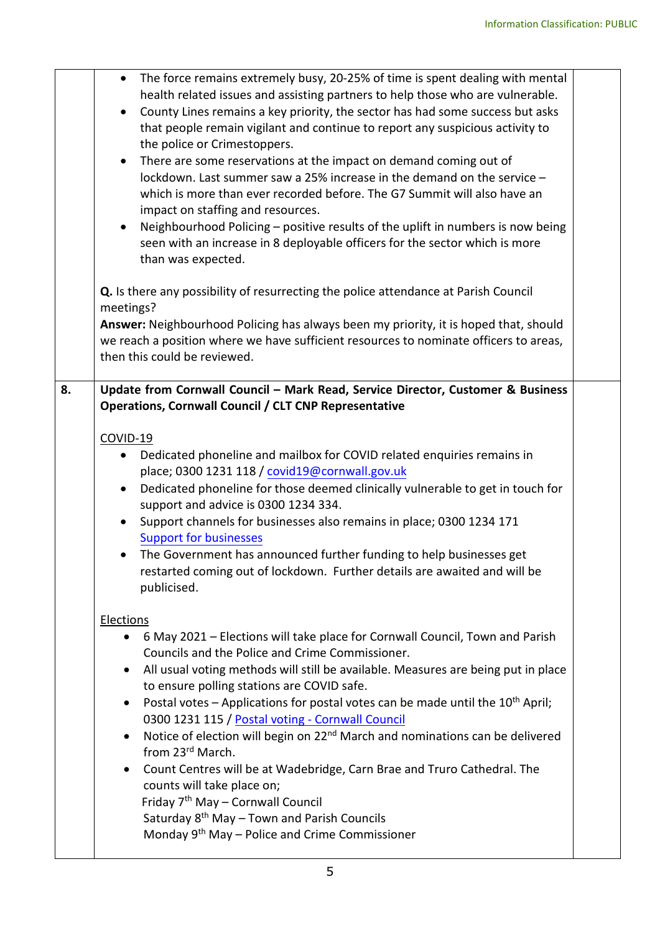|    | • The force remains extremely busy, 20-25% of time is spent dealing with mental<br>health related issues and assisting partners to help those who are vulnerable.<br>County Lines remains a key priority, the sector has had some success but asks<br>$\bullet$<br>that people remain vigilant and continue to report any suspicious activity to<br>the police or Crimestoppers.<br>• There are some reservations at the impact on demand coming out of<br>lockdown. Last summer saw a 25% increase in the demand on the service -<br>which is more than ever recorded before. The G7 Summit will also have an<br>impact on staffing and resources.<br>Neighbourhood Policing - positive results of the uplift in numbers is now being<br>seen with an increase in 8 deployable officers for the sector which is more<br>than was expected.                                                     |  |
|----|-------------------------------------------------------------------------------------------------------------------------------------------------------------------------------------------------------------------------------------------------------------------------------------------------------------------------------------------------------------------------------------------------------------------------------------------------------------------------------------------------------------------------------------------------------------------------------------------------------------------------------------------------------------------------------------------------------------------------------------------------------------------------------------------------------------------------------------------------------------------------------------------------|--|
|    | Q. Is there any possibility of resurrecting the police attendance at Parish Council<br>meetings?<br>Answer: Neighbourhood Policing has always been my priority, it is hoped that, should<br>we reach a position where we have sufficient resources to nominate officers to areas,<br>then this could be reviewed.                                                                                                                                                                                                                                                                                                                                                                                                                                                                                                                                                                               |  |
| 8. | Update from Cornwall Council - Mark Read, Service Director, Customer & Business<br><b>Operations, Cornwall Council / CLT CNP Representative</b><br>COVID-19<br>Dedicated phoneline and mailbox for COVID related enquiries remains in<br>$\bullet$<br>place; 0300 1231 118 / covid19@cornwall.gov.uk<br>Dedicated phoneline for those deemed clinically vulnerable to get in touch for<br>$\bullet$<br>support and advice is 0300 1234 334.<br>Support channels for businesses also remains in place; 0300 1234 171<br><b>Support for businesses</b><br>• The Government has announced further funding to help businesses get<br>restarted coming out of lockdown. Further details are awaited and will be<br>publicised.                                                                                                                                                                       |  |
|    | <b>Elections</b><br>6 May 2021 – Elections will take place for Cornwall Council, Town and Parish<br>Councils and the Police and Crime Commissioner.<br>All usual voting methods will still be available. Measures are being put in place<br>$\bullet$<br>to ensure polling stations are COVID safe.<br>Postal votes - Applications for postal votes can be made until the 10 <sup>th</sup> April;<br>$\bullet$<br>0300 1231 115 / Postal voting - Cornwall Council<br>Notice of election will begin on 22 <sup>nd</sup> March and nominations can be delivered<br>$\bullet$<br>from 23rd March.<br>Count Centres will be at Wadebridge, Carn Brae and Truro Cathedral. The<br>$\bullet$<br>counts will take place on;<br>Friday 7 <sup>th</sup> May - Cornwall Council<br>Saturday 8 <sup>th</sup> May - Town and Parish Councils<br>Monday 9 <sup>th</sup> May - Police and Crime Commissioner |  |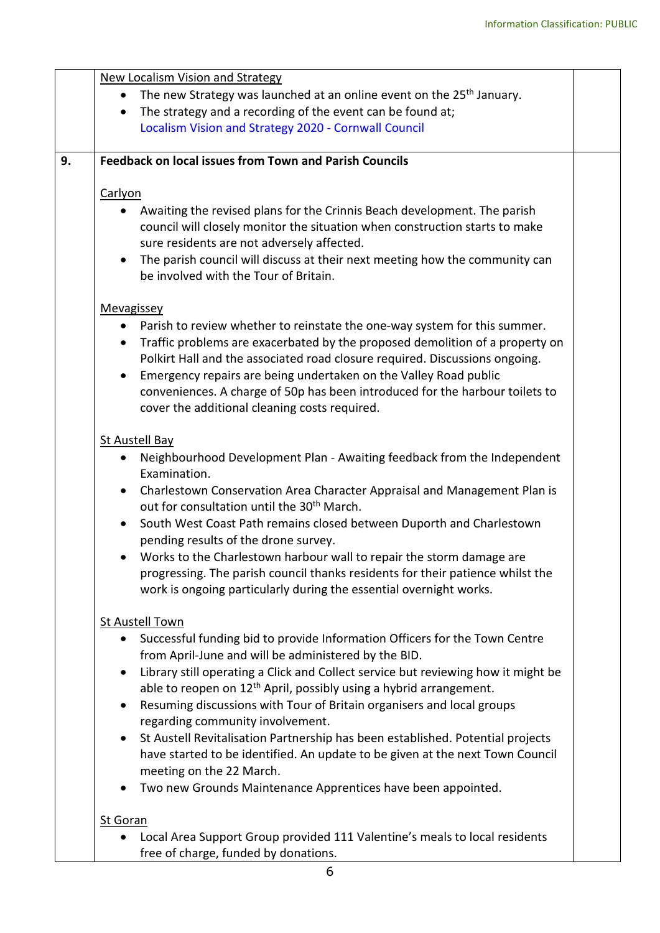|    | <b>New Localism Vision and Strategy</b>                                                                                                                                                                                                                                                                                                                                                                                                                    |  |  |  |
|----|------------------------------------------------------------------------------------------------------------------------------------------------------------------------------------------------------------------------------------------------------------------------------------------------------------------------------------------------------------------------------------------------------------------------------------------------------------|--|--|--|
|    | The new Strategy was launched at an online event on the 25 <sup>th</sup> January.                                                                                                                                                                                                                                                                                                                                                                          |  |  |  |
|    | The strategy and a recording of the event can be found at;<br>$\bullet$                                                                                                                                                                                                                                                                                                                                                                                    |  |  |  |
|    | Localism Vision and Strategy 2020 - Cornwall Council                                                                                                                                                                                                                                                                                                                                                                                                       |  |  |  |
| 9. | <b>Feedback on local issues from Town and Parish Councils</b>                                                                                                                                                                                                                                                                                                                                                                                              |  |  |  |
|    |                                                                                                                                                                                                                                                                                                                                                                                                                                                            |  |  |  |
|    | Carlyon                                                                                                                                                                                                                                                                                                                                                                                                                                                    |  |  |  |
|    | Awaiting the revised plans for the Crinnis Beach development. The parish<br>council will closely monitor the situation when construction starts to make<br>sure residents are not adversely affected.<br>The parish council will discuss at their next meeting how the community can<br>$\bullet$<br>be involved with the Tour of Britain.                                                                                                                 |  |  |  |
|    | Mevagissey                                                                                                                                                                                                                                                                                                                                                                                                                                                 |  |  |  |
|    | Parish to review whether to reinstate the one-way system for this summer.<br>Traffic problems are exacerbated by the proposed demolition of a property on<br>$\bullet$<br>Polkirt Hall and the associated road closure required. Discussions ongoing.<br>Emergency repairs are being undertaken on the Valley Road public<br>conveniences. A charge of 50p has been introduced for the harbour toilets to<br>cover the additional cleaning costs required. |  |  |  |
|    | <b>St Austell Bay</b>                                                                                                                                                                                                                                                                                                                                                                                                                                      |  |  |  |
|    | Neighbourhood Development Plan - Awaiting feedback from the Independent<br>Examination.<br>• Charlestown Conservation Area Character Appraisal and Management Plan is<br>out for consultation until the 30 <sup>th</sup> March.<br>South West Coast Path remains closed between Duporth and Charlestown<br>pending results of the drone survey.                                                                                                            |  |  |  |
|    | Works to the Charlestown harbour wall to repair the storm damage are<br>$\bullet$<br>progressing. The parish council thanks residents for their patience whilst the<br>work is ongoing particularly during the essential overnight works.                                                                                                                                                                                                                  |  |  |  |
|    | <b>St Austell Town</b>                                                                                                                                                                                                                                                                                                                                                                                                                                     |  |  |  |
|    | Successful funding bid to provide Information Officers for the Town Centre<br>from April-June and will be administered by the BID.                                                                                                                                                                                                                                                                                                                         |  |  |  |
|    | Library still operating a Click and Collect service but reviewing how it might be<br>able to reopen on 12 <sup>th</sup> April, possibly using a hybrid arrangement.                                                                                                                                                                                                                                                                                        |  |  |  |
|    | Resuming discussions with Tour of Britain organisers and local groups<br>regarding community involvement.                                                                                                                                                                                                                                                                                                                                                  |  |  |  |
|    | St Austell Revitalisation Partnership has been established. Potential projects<br>$\bullet$<br>have started to be identified. An update to be given at the next Town Council<br>meeting on the 22 March.                                                                                                                                                                                                                                                   |  |  |  |
|    | Two new Grounds Maintenance Apprentices have been appointed.                                                                                                                                                                                                                                                                                                                                                                                               |  |  |  |
|    | <b>St Goran</b>                                                                                                                                                                                                                                                                                                                                                                                                                                            |  |  |  |
|    | Local Area Support Group provided 111 Valentine's meals to local residents<br>free of charge, funded by donations.                                                                                                                                                                                                                                                                                                                                         |  |  |  |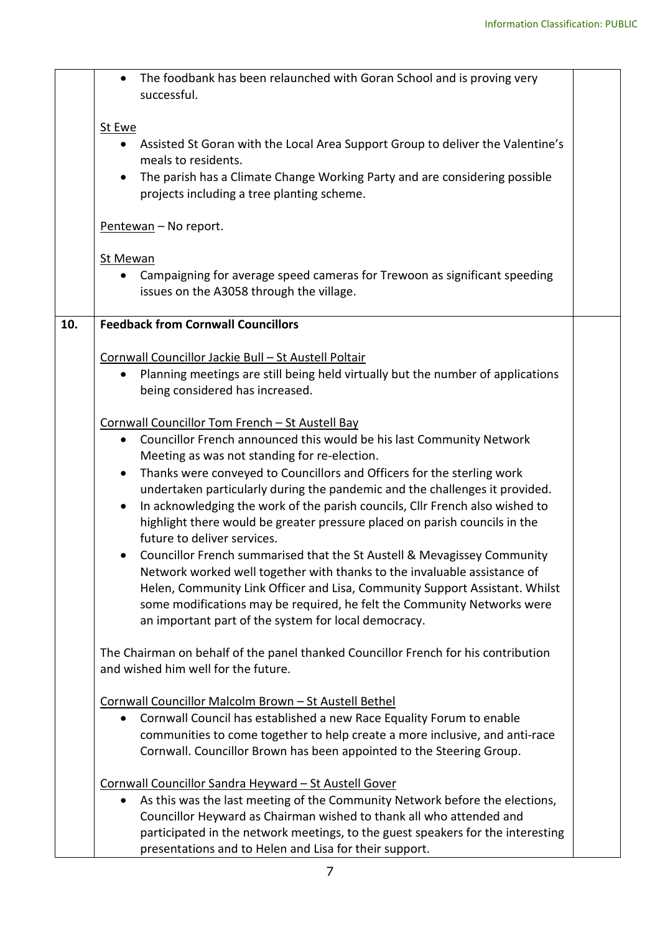|                                                                             | The foodbank has been relaunched with Goran School and is proving very<br>successful.                                                                                                                  |  |  |  |  |
|-----------------------------------------------------------------------------|--------------------------------------------------------------------------------------------------------------------------------------------------------------------------------------------------------|--|--|--|--|
|                                                                             | St Ewe                                                                                                                                                                                                 |  |  |  |  |
|                                                                             | • Assisted St Goran with the Local Area Support Group to deliver the Valentine's<br>meals to residents.                                                                                                |  |  |  |  |
|                                                                             | The parish has a Climate Change Working Party and are considering possible<br>$\bullet$<br>projects including a tree planting scheme.                                                                  |  |  |  |  |
|                                                                             | Pentewan - No report.                                                                                                                                                                                  |  |  |  |  |
|                                                                             | <b>St Mewan</b>                                                                                                                                                                                        |  |  |  |  |
|                                                                             | Campaigning for average speed cameras for Trewoon as significant speeding<br>$\bullet$<br>issues on the A3058 through the village.                                                                     |  |  |  |  |
| 10.                                                                         | <b>Feedback from Cornwall Councillors</b>                                                                                                                                                              |  |  |  |  |
|                                                                             |                                                                                                                                                                                                        |  |  |  |  |
|                                                                             | Cornwall Councillor Jackie Bull - St Austell Poltair                                                                                                                                                   |  |  |  |  |
|                                                                             | Planning meetings are still being held virtually but the number of applications<br>being considered has increased.                                                                                     |  |  |  |  |
|                                                                             | Cornwall Councillor Tom French - St Austell Bay                                                                                                                                                        |  |  |  |  |
|                                                                             | Councillor French announced this would be his last Community Network<br>$\bullet$<br>Meeting as was not standing for re-election.                                                                      |  |  |  |  |
|                                                                             | Thanks were conveyed to Councillors and Officers for the sterling work<br>$\bullet$                                                                                                                    |  |  |  |  |
| undertaken particularly during the pandemic and the challenges it provided. |                                                                                                                                                                                                        |  |  |  |  |
|                                                                             | In acknowledging the work of the parish councils, Cllr French also wished to<br>$\bullet$<br>highlight there would be greater pressure placed on parish councils in the<br>future to deliver services. |  |  |  |  |
| Councillor French summarised that the St Austell & Mevagissey Community     |                                                                                                                                                                                                        |  |  |  |  |
| Network worked well together with thanks to the invaluable assistance of    |                                                                                                                                                                                                        |  |  |  |  |
|                                                                             | Helen, Community Link Officer and Lisa, Community Support Assistant. Whilst                                                                                                                            |  |  |  |  |
|                                                                             | some modifications may be required, he felt the Community Networks were<br>an important part of the system for local democracy.                                                                        |  |  |  |  |
|                                                                             | The Chairman on behalf of the panel thanked Councillor French for his contribution<br>and wished him well for the future.                                                                              |  |  |  |  |
|                                                                             | Cornwall Councillor Malcolm Brown - St Austell Bethel                                                                                                                                                  |  |  |  |  |
|                                                                             | Cornwall Council has established a new Race Equality Forum to enable                                                                                                                                   |  |  |  |  |
|                                                                             | communities to come together to help create a more inclusive, and anti-race                                                                                                                            |  |  |  |  |
|                                                                             | Cornwall. Councillor Brown has been appointed to the Steering Group.                                                                                                                                   |  |  |  |  |
|                                                                             | Cornwall Councillor Sandra Heyward - St Austell Gover                                                                                                                                                  |  |  |  |  |
|                                                                             | As this was the last meeting of the Community Network before the elections,<br>$\bullet$                                                                                                               |  |  |  |  |
|                                                                             | Councillor Heyward as Chairman wished to thank all who attended and                                                                                                                                    |  |  |  |  |
|                                                                             | participated in the network meetings, to the guest speakers for the interesting                                                                                                                        |  |  |  |  |
|                                                                             | presentations and to Helen and Lisa for their support.                                                                                                                                                 |  |  |  |  |